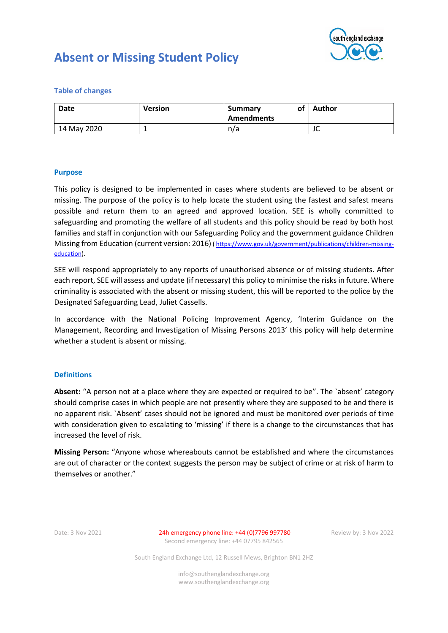

# **Absent or Missing Student Policy**

**Table of changes**

| Date        | <b>Version</b> | of<br><b>Summary</b><br><b>Amendments</b> | Author               |
|-------------|----------------|-------------------------------------------|----------------------|
| 14 May 2020 |                | n/a                                       | $\overline{ }$<br>JU |

## **Purpose**

This policy is designed to be implemented in cases where students are believed to be absent or missing. The purpose of the policy is to help locate the student using the fastest and safest means possible and return them to an agreed and approved location. SEE is wholly committed to safeguarding and promoting the welfare of all students and this policy should be read by both host families and staff in conjunction with our Safeguarding Policy and the government guidance Children Missing from Education (current version: 2016) ( [https://www.gov.uk/government/publications/children-missing](https://www.gov.uk/government/publications/children-missing-education)[education\)](https://www.gov.uk/government/publications/children-missing-education).

SEE will respond appropriately to any reports of unauthorised absence or of missing students. After each report, SEE will assess and update (if necessary) this policy to minimise the risks in future. Where criminality is associated with the absent or missing student, this will be reported to the police by the Designated Safeguarding Lead, Juliet Cassells.

In accordance with the National Policing Improvement Agency, 'Interim Guidance on the Management, Recording and Investigation of Missing Persons 2013' this policy will help determine whether a student is absent or missing.

#### **Definitions**

**Absent:** "A person not at a place where they are expected or required to be". The `absent' category should comprise cases in which people are not presently where they are supposed to be and there is no apparent risk. `Absent' cases should not be ignored and must be monitored over periods of time with consideration given to escalating to 'missing' if there is a change to the circumstances that has increased the level of risk.

**Missing Person:** "Anyone whose whereabouts cannot be established and where the circumstances are out of character or the context suggests the person may be subject of crime or at risk of harm to themselves or another."

Date: 3 Nov 2021 24h emergency phone line: +44 (0)7796 997780 Review by: 3 Nov 2022 Second emergency line: +44 07795 842565

South England Exchange Ltd, 12 Russell Mews, Brighton BN1 2HZ

info@southenglandexchange.org www.southenglandexchange.org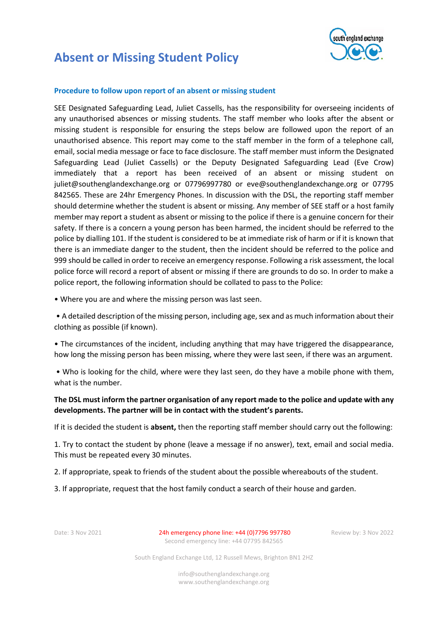



### **Procedure to follow upon report of an absent or missing student**

SEE Designated Safeguarding Lead, Juliet Cassells, has the responsibility for overseeing incidents of any unauthorised absences or missing students. The staff member who looks after the absent or missing student is responsible for ensuring the steps below are followed upon the report of an unauthorised absence. This report may come to the staff member in the form of a telephone call, email, social media message or face to face disclosure. The staff member must inform the Designated Safeguarding Lead (Juliet Cassells) or the Deputy Designated Safeguarding Lead (Eve Crow) immediately that a report has been received of an absent or missing student on juliet@southenglandexchange.org or 07796997780 or eve@southenglandexchange.org or 07795 842565. These are 24hr Emergency Phones. In discussion with the DSL, the reporting staff member should determine whether the student is absent or missing. Any member of SEE staff or a host family member may report a student as absent or missing to the police if there is a genuine concern for their safety. If there is a concern a young person has been harmed, the incident should be referred to the police by dialling 101. If the student is considered to be at immediate risk of harm or if it is known that there is an immediate danger to the student, then the incident should be referred to the police and 999 should be called in order to receive an emergency response. Following a risk assessment, the local police force will record a report of absent or missing if there are grounds to do so. In order to make a police report, the following information should be collated to pass to the Police:

• Where you are and where the missing person was last seen.

• A detailed description of the missing person, including age, sex and as much information about their clothing as possible (if known).

• The circumstances of the incident, including anything that may have triggered the disappearance, how long the missing person has been missing, where they were last seen, if there was an argument.

• Who is looking for the child, where were they last seen, do they have a mobile phone with them, what is the number.

## **The DSL must inform the partner organisation of any report made to the police and update with any developments. The partner will be in contact with the student's parents.**

If it is decided the student is **absent,** then the reporting staff member should carry out the following:

1. Try to contact the student by phone (leave a message if no answer), text, email and social media. This must be repeated every 30 minutes.

2. If appropriate, speak to friends of the student about the possible whereabouts of the student.

3. If appropriate, request that the host family conduct a search of their house and garden.

Date: 3 Nov 2021 24h emergency phone line: +44 (0)7796 997780 Review by: 3 Nov 2022 Second emergency line: +44 07795 842565

South England Exchange Ltd, 12 Russell Mews, Brighton BN1 2HZ

info@southenglandexchange.org www.southenglandexchange.org